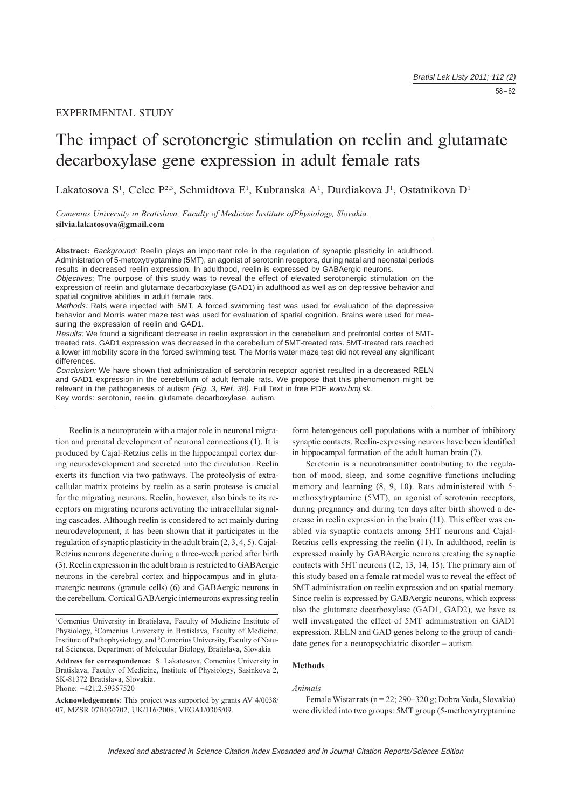# EXPERIMENTAL STUDY

# The impact of serotonergic stimulation on reelin and glutamate decarboxylase gene expression in adult female rats

Lakatosova S<sup>1</sup>, Celec P<sup>2,3</sup>, Schmidtova E<sup>1</sup>, Kubranska A<sup>1</sup>, Durdiakova J<sup>1</sup>, Ostatnikova D<sup>1</sup>

Comenius University in Bratislava, Faculty of Medicine Institute ofPhysiology, Slovakia. silvia.lakatosova@gmail.com

**Abstract:** Background: Reelin plays an important role in the regulation of synaptic plasticity in adulthood. Administration of 5-metoxytryptamine (5MT), an agonist of serotonin receptors, during natal and neonatal periods results in decreased reelin expression. In adulthood, reelin is expressed by GABAergic neurons.

Objectives: The purpose of this study was to reveal the effect of elevated serotonergic stimulation on the expression of reelin and glutamate decarboxylase (GAD1) in adulthood as well as on depressive behavior and spatial cognitive abilities in adult female rats.

Methods: Rats were injected with 5MT. A forced swimming test was used for evaluation of the depressive behavior and Morris water maze test was used for evaluation of spatial cognition. Brains were used for measuring the expression of reelin and GAD1.

Results: We found a significant decrease in reelin expression in the cerebellum and prefrontal cortex of 5MTtreated rats. GAD1 expression was decreased in the cerebellum of 5MT-treated rats. 5MT-treated rats reached a lower immobility score in the forced swimming test. The Morris water maze test did not reveal any significant differences.

Conclusion: We have shown that administration of serotonin receptor agonist resulted in a decreased RELN and GAD1 expression in the cerebellum of adult female rats. We propose that this phenomenon might be relevant in the pathogenesis of autism (Fig. 3, Ref. 38). Full Text in free PDF www.bmj.sk. Key words: serotonin, reelin, glutamate decarboxylase, autism.

Reelin is a neuroprotein with a major role in neuronal migration and prenatal development of neuronal connections (1). It is produced by Cajal-Retzius cells in the hippocampal cortex during neurodevelopment and secreted into the circulation. Reelin exerts its function via two pathways. The proteolysis of extracellular matrix proteins by reelin as a serin protease is crucial for the migrating neurons. Reelin, however, also binds to its receptors on migrating neurons activating the intracellular signaling cascades. Although reelin is considered to act mainly during neurodevelopment, it has been shown that it participates in the regulation of synaptic plasticity in the adult brain  $(2, 3, 4, 5)$ . Cajal-Retzius neurons degenerate during a three-week period after birth (3). Reelin expression in the adult brain is restricted to GABA ergic neurons in the cerebral cortex and hippocampus and in glutamatergic neurons (granule cells) (6) and GABAergic neurons in the cerebellum. Cortical GABAergic interneurons expressing reelin

<sup>1</sup>Comenius University in Bratislava, Faculty of Medicine Institute of Physiology, <sup>2</sup>Comenius University in Bratislava, Faculty of Medicine, Institute of Pathophysiology, and <sup>3</sup>Comenius University, Faculty of Natural Sciences, Department of Molecular Biology, Bratislava, Slovakia

Address for correspondence: S. Lakatosova, Comenius University in Bratislava, Faculty of Medicine, Institute of Physiology, Sasinkova 2, SK-81372 Bratislava, Slovakia. Phone: +421.2.59357520

Acknowledgements: This project was supported by grants AV 4/0038/ 07, MZSR 07B030702, UK/116/2008, VEGA1/0305/09.

form heterogenous cell populations with a number of inhibitory synaptic contacts. Reelin-expressing neurons have been identified in hippocampal formation of the adult human brain (7).

Serotonin is a neurotransmitter contributing to the regulation of mood, sleep, and some cognitive functions including memory and learning  $(8, 9, 10)$ . Rats administered with 5methoxytryptamine (5MT), an agonist of serotonin receptors, during pregnancy and during ten days after birth showed a decrease in reelin expression in the brain (11). This effect was enabled via synaptic contacts among 5HT neurons and Cajal-Retzius cells expressing the reelin  $(11)$ . In adulthood, reelin is expressed mainly by GABAergic neurons creating the synaptic contacts with 5HT neurons  $(12, 13, 14, 15)$ . The primary aim of this study based on a female rat model was to reveal the effect of 5MT administration on reelin expression and on spatial memory. Since reelin is expressed by GABA ergic neurons, which express also the glutamate decarboxylase (GAD1, GAD2), we have as well investigated the effect of 5MT administration on GAD1 expression. RELN and GAD genes belong to the group of candidate genes for a neuropsychiatric disorder  $-$  autism.

## Methods

#### Animals

Female Wistar rats ( $n = 22$ : 290–320 g: Dobra Voda, Slovakia) were divided into two groups: 5MT group (5-methoxytryptamine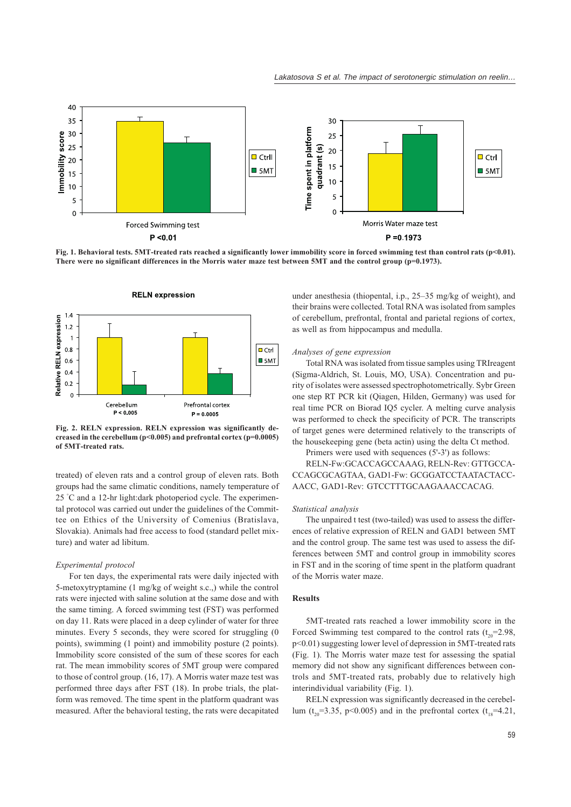

Fig. 1. Behavioral tests. 5MT-treated rats reached a significantly lower immobility score in forced swimming test than control rats ( $p$ <0.01). There were no significant differences in the Morris water maze test between 5MT and the control group  $(p=0.1973)$ .



Fig. 2. RELN expression. RELN expression was significantly decreased in the cerebellum ( $p$ <0.005) and prefrontal cortex ( $p$ =0.0005) of 5MT-treated rats.

treated) of eleven rats and a control group of eleven rats. Both groups had the same climatic conditions, namely temperature of 25 °C and a 12-hr light:dark photoperiod cycle. The experimental protocol was carried out under the guidelines of the Committee on Ethics of the University of Comenius (Bratislava, Slovakia). Animals had free access to food (standard pellet mixture) and water ad libitum.

### Experimental protocol

For ten days, the experimental rats were daily injected with 5-metoxytryptamine (1 mg/kg of weight s.c.,) while the control rats were injected with saline solution at the same dose and with the same timing. A forced swimming test (FST) was performed on day 11. Rats were placed in a deep cylinder of water for three minutes. Every 5 seconds, they were scored for struggling (0) points), swimming (1 point) and immobility posture (2 points). Immobility score consisted of the sum of these scores for each rat. The mean immobility scores of 5MT group were compared to those of control group. (16, 17). A Morris water maze test was performed three days after FST (18). In probe trials, the platform was removed. The time spent in the platform quadrant was measured. After the behavioral testing, the rats were decapitated

under anesthesia (thiopental, i.p., 25–35 mg/kg of weight), and their brains were collected. Total RNA was isolated from samples of cerebellum, prefrontal, frontal and parietal regions of cortex, as well as from hippocampus and medulla.

# Analyses of gene expression

Total RNA was isolated from tissue samples using TRIreagent (Sigma-Aldrich, St. Louis, MO, USA). Concentration and purity of isolates were assessed spectrophotometrically. Sybr Green one step RT PCR kit (Qiagen, Hilden, Germany) was used for real time PCR on Biorad IQ5 cycler. A melting curve analysis was performed to check the specificity of PCR. The transcripts of target genes were determined relatively to the transcripts of the housekeeping gene (beta actin) using the delta Ct method.

Primers were used with sequences (5'-3') as follows:

RELN-Fw:GCACCAGCCAAAG, RELN-Rev: GTTGCCA-CCAGCGCAGTAA, GAD1-Fw: GCGGATCCTAATACTACC-AACC, GAD1-Rev: GTCCTTTGCAAGAAACCACAG.

## Statistical analysis

The unpaired t test (two-tailed) was used to assess the differences of relative expression of RELN and GAD1 between 5MT and the control group. The same test was used to assess the differences between 5MT and control group in immobility scores in FST and in the scoring of time spent in the platform quadrant of the Morris water maze.

#### **Results**

5MT-treated rats reached a lower immobility score in the Forced Swimming test compared to the control rats  $(t_{0} = 2.98,$ p<0.01) suggesting lower level of depression in 5MT-treated rats (Fig. 1). The Morris water maze test for assessing the spatial memory did not show any significant differences between controls and 5MT-treated rats, probably due to relatively high interindividual variability (Fig. 1).

RELN expression was significantly decreased in the cerebellum ( $t_{20}$ =3.35, p<0.005) and in the prefrontal cortex ( $t_{18}$ =4.21,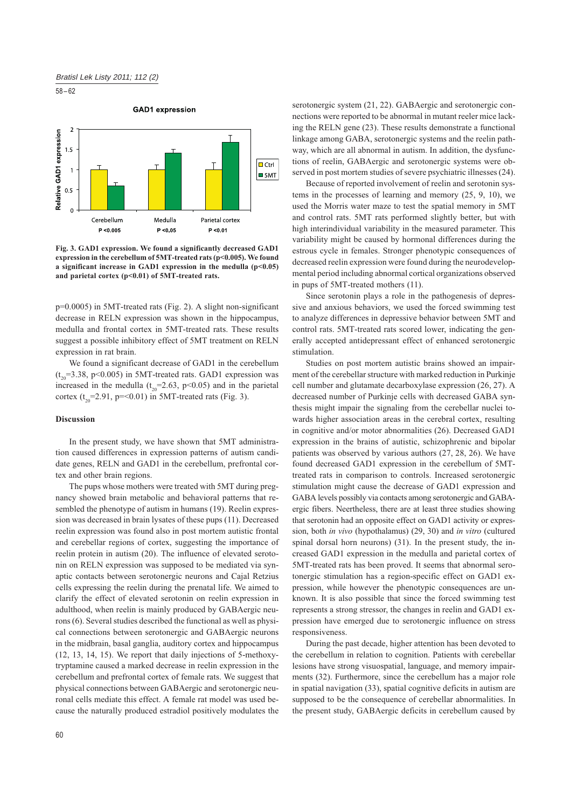$58 - 62$ 

**GAD1** expression



Fig. 3. GAD1 expression. We found a significantly decreased GAD1 expression in the cerebellum of 5MT-treated rats (p<0.005). We found a significant increase in GAD1 expression in the medulla  $(p<0.05)$ and parietal cortex (p<0.01) of 5MT-treated rats.

p=0.0005) in 5MT-treated rats (Fig. 2). A slight non-significant decrease in RELN expression was shown in the hippocampus, medulla and frontal cortex in 5MT-treated rats. These results suggest a possible inhibitory effect of 5MT treatment on RELN expression in rat brain.

We found a significant decrease of GAD1 in the cerebellum  $(t_{0} = 3.38, p < 0.005)$  in 5MT-treated rats. GAD1 expression was increased in the medulla ( $t_{20}$ =2.63, p<0.05) and in the parietal cortex  $(t_{20} = 2.91, p = 0.01)$  in 5MT-treated rats (Fig. 3).

#### **Discussion**

In the present study, we have shown that 5MT administration caused differences in expression patterns of autism candidate genes, RELN and GAD1 in the cerebellum, prefrontal cortex and other brain regions.

The pups whose mothers were treated with 5MT during pregnancy showed brain metabolic and behavioral patterns that resembled the phenotype of autism in humans (19). Reelin expression was decreased in brain lysates of these pups (11). Decreased reelin expression was found also in post mortem autistic frontal and cerebellar regions of cortex, suggesting the importance of reelin protein in autism (20). The influence of elevated serotonin on RELN expression was supposed to be mediated via synaptic contacts between serotonergic neurons and Cajal Retzius cells expressing the reelin during the prenatal life. We aimed to clarify the effect of elevated serotonin on reelin expression in adulthood, when reelin is mainly produced by GABAergic neurons (6). Several studies described the functional as well as physical connections between serotonergic and GABAergic neurons in the midbrain, basal ganglia, auditory cortex and hippocampus (12, 13, 14, 15). We report that daily injections of 5-methoxytryptamine caused a marked decrease in reelin expression in the cerebellum and prefrontal cortex of female rats. We suggest that physical connections between GABAergic and serotonergic neuronal cells mediate this effect. A female rat model was used because the naturally produced estradiol positively modulates the

60

serotonergic system (21, 22). GABAergic and serotonergic connections were reported to be abnormal in mutant reeler mice lacking the RELN gene (23). These results demonstrate a functional linkage among GABA, serotonergic systems and the reelin pathway, which are all abnormal in autism. In addition, the dysfunctions of reelin, GABAergic and serotonergic systems were observed in post mortem studies of severe psychiatric illnesses (24).

Because of reported involvement of reelin and serotonin systems in the processes of learning and memory  $(25, 9, 10)$ , we used the Morris water maze to test the spatial memory in 5MT and control rats. 5MT rats performed slightly better, but with high interindividual variability in the measured parameter. This variability might be caused by hormonal differences during the estrous cycle in females. Stronger phenotypic consequences of decreased reelin expression were found during the neurodevelopmental period including abnormal cortical organizations observed in pups of 5MT-treated mothers (11).

Since serotonin plays a role in the pathogenesis of depressive and anxious behaviors, we used the forced swimming test to analyze differences in depressive behavior between 5MT and control rats. 5MT-treated rats scored lower, indicating the generally accepted antidepressant effect of enhanced serotonergic stimulation.

Studies on post mortem autistic brains showed an impairment of the cerebellar structure with marked reduction in Purkinje cell number and glutamate decarboxylase expression (26, 27). A decreased number of Purkinje cells with decreased GABA synthesis might impair the signaling from the cerebellar nuclei towards higher association areas in the cerebral cortex, resulting in cognitive and/or motor abnormalities (26). Decreased GAD1 expression in the brains of autistic, schizophrenic and bipolar patients was observed by various authors (27, 28, 26). We have found decreased GAD1 expression in the cerebellum of 5MTtreated rats in comparison to controls. Increased serotonergic stimulation might cause the decrease of GAD1 expression and GABA levels possibly via contacts among serotonergic and GABAergic fibers. Neertheless, there are at least three studies showing that serotonin had an opposite effect on GAD1 activity or expression, both in vivo (hypothalamus) (29, 30) and in vitro (cultured spinal dorsal horn neurons) (31). In the present study, the increased GAD1 expression in the medulla and parietal cortex of 5MT-treated rats has been proved. It seems that abnormal serotonergic stimulation has a region-specific effect on GAD1 expression, while however the phenotypic consequences are unknown. It is also possible that since the forced swimming test represents a strong stressor, the changes in reelin and GAD1 expression have emerged due to serotonergic influence on stress responsiveness.

During the past decade, higher attention has been devoted to the cerebellum in relation to cognition. Patients with cerebellar lesions have strong visuospatial, language, and memory impairments (32). Furthermore, since the cerebellum has a major role in spatial navigation (33), spatial cognitive deficits in autism are supposed to be the consequence of cerebellar abnormalities. In the present study, GABAergic deficits in cerebellum caused by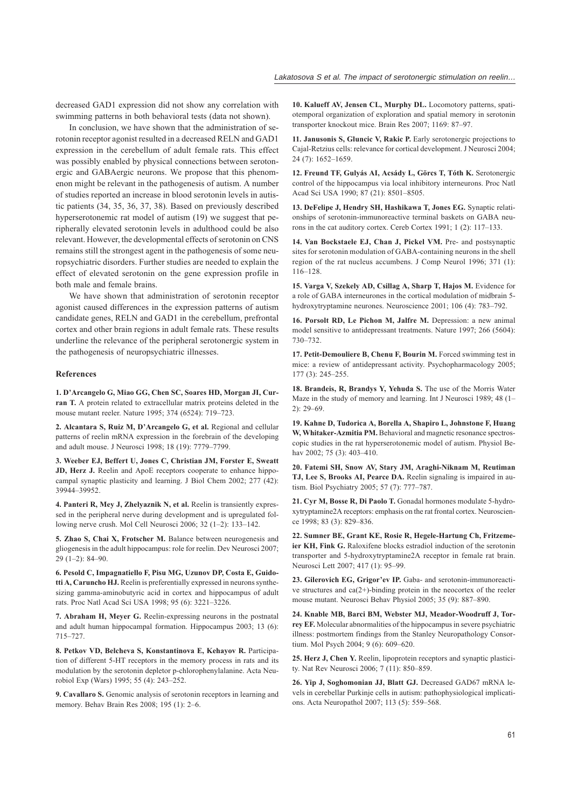decreased GAD1 expression did not show any correlation with swimming patterns in both behavioral tests (data not shown).

In conclusion, we have shown that the administration of serotonin receptor agonist resulted in a decreased RELN and GAD1 expression in the cerebellum of adult female rats. This effect was possibly enabled by physical connections between serotonergic and GABAergic neurons. We propose that this phenomenon might be relevant in the pathogenesis of autism. A number of studies reported an increase in blood serotonin levels in autistic patients (34, 35, 36, 37, 38). Based on previously described hyperserotonemic rat model of autism (19) we suggest that peripherally elevated serotonin levels in adulthood could be also relevant. However, the developmental effects of serotonin on CNS remains still the strongest agent in the pathogenesis of some neuropsychiatric disorders. Further studies are needed to explain the effect of elevated serotonin on the gene expression profile in both male and female brains.

We have shown that administration of serotonin receptor agonist caused differences in the expression patterns of autism candidate genes, RELN and GAD1 in the cerebellum, prefrontal cortex and other brain regions in adult female rats. These results underline the relevance of the peripheral serotonergic system in the pathogenesis of neuropsychiatric illnesses.

## References

1. D'Arcangelo G, Miao GG, Chen SC, Soares HD, Morgan JI, Curran T. A protein related to extracellular matrix proteins deleted in the mouse mutant reeler. Nature 1995; 374 (6524): 719-723.

2. Alcantara S, Ruiz M, D'Arcangelo G, et al. Regional and cellular patterns of reelin mRNA expression in the forebrain of the developing and adult mouse. J Neurosci 1998; 18 (19): 7779-7799.

3. Weeber EJ, Beffert U, Jones C, Christian JM, Forster E, Sweatt JD, Herz J. Reelin and ApoE receptors cooperate to enhance hippocampal synaptic plasticity and learning. J Biol Chem 2002; 277 (42): 39944-39952

4. Panteri R, Mey J, Zhelyaznik N, et al. Reelin is transiently expressed in the peripheral nerve during development and is upregulated following nerve crush. Mol Cell Neurosci 2006; 32 (1-2): 133-142.

5. Zhao S, Chai X, Frotscher M. Balance between neurogenesis and gliogenesis in the adult hippocampus: role for reelin. Dev Neurosci 2007;  $29(1-2): 84-90.$ 

6. Pesold C, Impagnatiello F, Pisu MG, Uzunov DP, Costa E, Guidotti A, Caruncho HJ. Reelin is preferentially expressed in neurons synthesizing gamma-aminobutyric acid in cortex and hippocampus of adult rats. Proc Natl Acad Sci USA 1998; 95 (6): 3221-3226.

7. Abraham H, Meyer G. Reelin-expressing neurons in the postnatal and adult human hippocampal formation. Hippocampus 2003; 13 (6):  $715 - 727$ 

8. Petkov VD, Belcheva S, Konstantinova E, Kehayov R. Participation of different 5-HT receptors in the memory process in rats and its modulation by the serotonin depletor p-chlorophenylalanine. Acta Neurobiol Exp (Wars) 1995; 55 (4): 243-252.

9. Cavallaro S. Genomic analysis of serotonin receptors in learning and memory. Behav Brain Res 2008; 195 (1): 2-6.

10. Kalueff AV, Jensen CL, Murphy DL. Locomotory patterns, spatiotemporal organization of exploration and spatial memory in serotonin transporter knockout mice. Brain Res 2007; 1169: 87-97.

11. Janusonis S, Gluncic V, Rakic P. Early serotonergic projections to Cajal-Retzius cells: relevance for cortical development. J Neurosci 2004; 24 (7): 1652-1659.

12. Freund TF, Gulyás AI, Acsády L, Görcs T, Tóth K. Serotonergic control of the hippocampus via local inhibitory interneurons. Proc Natl Acad Sci USA 1990; 87 (21): 8501-8505.

13. DeFelipe J. Hendry SH. Hashikawa T. Jones EG. Synaptic relationships of serotonin-immunoreactive terminal baskets on GABA neurons in the cat auditory cortex. Cereb Cortex 1991; 1 (2): 117-133.

14. Van Bockstaele EJ, Chan J, Pickel VM. Pre- and postsynaptic sites for serotonin modulation of GABA-containing neurons in the shell region of the rat nucleus accumbens. J Comp Neurol 1996; 371 (1):  $116 - 128.$ 

15. Varga V, Szekely AD, Csillag A, Sharp T, Hajos M. Evidence for a role of GABA interneurones in the cortical modulation of midbrain 5hydroxytryptamine neurones. Neuroscience 2001; 106 (4): 783-792.

16. Porsolt RD, Le Pichon M, Jalfre M. Depression: a new animal model sensitive to antidepressant treatments. Nature 1997; 266 (5604): 730-732.

17. Petit-Demouliere B, Chenu F, Bourin M. Forced swimming test in mice: a review of antidepressant activity. Psychopharmacology 2005;  $177(3)$ : 245-255.

18. Brandeis, R, Brandys Y, Yehuda S. The use of the Morris Water Maze in the study of memory and learning. Int J Neurosci 1989; 48 (1–  $2): 29 - 69.$ 

19. Kahne D, Tudorica A, Borella A, Shapiro L, Johnstone F, Huang W, Whitaker-Azmitia PM. Behavioral and magnetic resonance spectroscopic studies in the rat hyperserotonemic model of autism. Physiol Behav 2002; 75 (3): 403-410.

20. Fatemi SH, Snow AV, Stary JM, Araghi-Niknam M, Reutiman TJ, Lee S, Brooks AI, Pearce DA. Reelin signaling is impaired in autism. Biol Psychiatry 2005; 57 (7): 777-787.

21. Cyr M, Bosse R, Di Paolo T. Gonadal hormones modulate 5-hydroxytryptamine2A receptors: emphasis on the rat frontal cortex. Neuroscience 1998; 83 (3): 829-836.

22. Sumner BE, Grant KE, Rosie R, Hegele-Hartung Ch, Fritzemeier KH, Fink G. Raloxifene blocks estradiol induction of the serotonin transporter and 5-hydroxytryptamine2A receptor in female rat brain. Neurosci Lett 2007; 417 (1): 95-99.

23. Gilerovich EG, Grigor'ev IP. Gaba- and serotonin-immunoreactive structures and  $ca(2+)$ -binding protein in the neocortex of the reeler mouse mutant. Neurosci Behav Physiol 2005; 35 (9): 887-890.

24. Knable MB, Barci BM, Webster MJ, Meador-Woodruff J, Torrey EF. Molecular abnormalities of the hippocampus in severe psychiatric illness: postmortem findings from the Stanley Neuropathology Consortium. Mol Psych 2004; 9 (6): 609-620.

25. Herz J, Chen Y. Reelin, lipoprotein receptors and synaptic plasticity. Nat Rev Neurosci 2006; 7 (11): 850-859.

26. Yip J, Soghomonian JJ, Blatt GJ. Decreased GAD67 mRNA levels in cerebellar Purkinje cells in autism: pathophysiological implications. Acta Neuropathol 2007; 113 (5): 559-568.